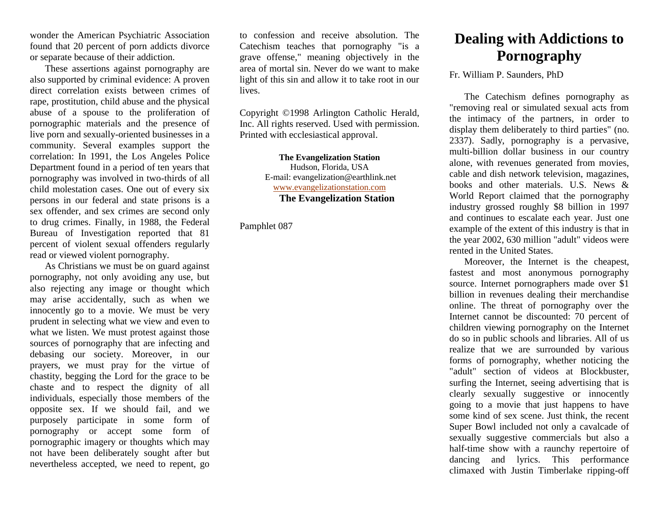wonder the American Psychiatric Association found that 20 percent of porn addicts divorce or separate because of their addiction.

These assertions against pornography are also supported by criminal evidence: A proven direct correlation exists between crimes of rape, prostitution, child abuse and the physical abuse of a spouse to the proliferation of pornographic materials and the presence of live porn and sexually-oriented businesses in a community. Several examples support the correlation: In 1991, the Los Angeles Police Department found in a period of ten years that pornography was involved in two-thirds of all child molestation cases. One out of every six persons in our federal and state prisons is a sex offender, and sex crimes are second only to drug crimes. Finally, in 1988, the Federal Bureau of Investigation reported that 81 percent of violent sexual offenders regularly read or viewed violent pornography.

As Christians we must be on guard against pornography, not only avoiding any use, but also rejecting any image or thought which may arise accidentally, such as when we innocently go to a movie. We must be very prudent in selecting what we view and even to what we listen. We must protest against those sources of pornography that are infecting and debasing our society. Moreover, in our prayers, we must pray for the virtue of chastity, begging the Lord for the grace to be chaste and to respect the dignity of all individuals, especially those members of the opposite sex. If we should fail, and we purposely participate in some form of pornography or accept some form of pornographic imagery or thoughts which may not have been deliberately sought after but nevertheless accepted, we need to repent, go

to confession and receive absolution. The Catechism teaches that pornography "is a grave offense," meaning objectively in the area of mortal sin. Never do we want to make light of this sin and allow it to take root in our lives.

Copyright ©1998 Arlington Catholic Herald, Inc. All rights reserved. Used with permission. Printed with ecclesiastical approval.

> **The Evangelization Station** Hudson, Florida, USA E-mail: evangelization@earthlink.net [www.evangelizationstation.com](http://www.pjpiisoe.org/) **The Evangelization Station**

Pamphlet 087

## **Dealing with Addictions to Pornography**

Fr. William P. Saunders, PhD

The Catechism defines pornography as "removing real or simulated sexual acts from the intimacy of the partners, in order to display them deliberately to third parties" (no. 2337). Sadly, pornography is a pervasive, multi-billion dollar business in our country alone, with revenues generated from movies, cable and dish network television, magazines, books and other materials. U.S. News & World Report claimed that the pornography industry grossed roughly \$8 billion in 1997 and continues to escalate each year. Just one example of the extent of this industry is that in the year 2002, 630 million "adult" videos were rented in the United States.

Moreover, the Internet is the cheapest, fastest and most anonymous pornography source. Internet pornographers made over \$1 billion in revenues dealing their merchandise online. The threat of pornography over the Internet cannot be discounted: 70 percent of children viewing pornography on the Internet do so in public schools and libraries. All of us realize that we are surrounded by various forms of pornography, whether noticing the "adult" section of videos at Blockbuster, surfing the Internet, seeing advertising that is clearly sexually suggestive or innocently going to a movie that just happens to have some kind of sex scene. Just think, the recent Super Bowl included not only a cavalcade of sexually suggestive commercials but also a half-time show with a raunchy repertoire of dancing and lyrics. This performance climaxed with Justin Timberlake ripping-off